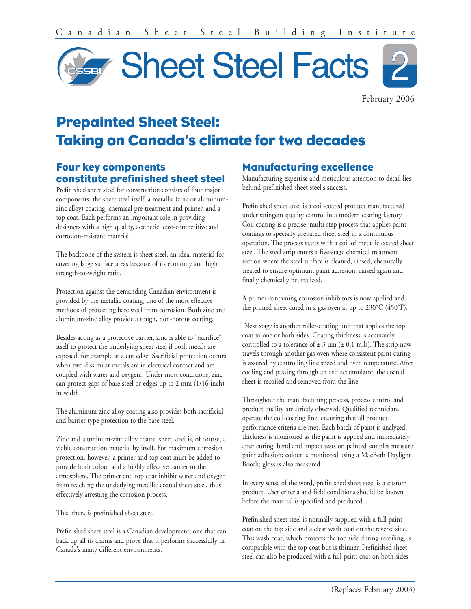

February 2006

# **Prepainted Sheet Steel: Taking on Canada's climate for two decades**

## **Four key components constitute prefinished sheet steel**

Prefinished sheet steel for construction consists of four major components: the sheet steel itself, a metallic (zinc or aluminumzinc alloy) coating, chemical pre-treatment and primer, and a top coat. Each performs an important role in providing designers with a high quality, aesthetic, cost-competitive and corrosion-resistant material.

The backbone of the system is sheet steel, an ideal material for covering large surface areas because of its economy and high strength-to-weight ratio.

Protection against the demanding Canadian environment is provided by the metallic coating, one of the most effective methods of protecting bare steel from corrosion. Both zinc and aluminum-zinc alloy provide a tough, non-porous coating.

Besides acting as a protective barrier, zinc is able to "sacrifice" itself to protect the underlying sheet steel if both metals are exposed, for example at a cut edge. Sacrificial protection occurs when two dissimilar metals are in electrical contact and are coupled with water and oxygen. Under most conditions, zinc can protect gaps of bare steel or edges up to 2 mm (1/16 inch) in width.

The aluminum-zinc alloy coating also provides both sacrificial and barrier type protection to the base steel.

Zinc and aluminum-zinc alloy coated sheet steel is, of course, a viable construction material by itself. For maximum corrosion protection, however, a primer and top coat must be added to provide both colour and a highly effective barrier to the atmosphere. The primer and top coat inhibit water and oxygen from reaching the underlying metallic coated sheet steel, thus effectively arresting the corrosion process.

This, then, is prefinished sheet steel.

Prefinished sheet steel is a Canadian development, one that can back up all its claims and prove that it performs successfully in Canada's many different environments.

## **Manufacturing excellence**

Manufacturing expertise and meticulous attention to detail lies behind prefinished sheet steel's success.

Prefinished sheet steel is a coil-coated product manufactured under stringent quality control in a modern coating factory. Coil coating is a precise, multi-step process that applies paint coatings to specially prepared sheet steel in a continuous operation. The process starts with a coil of metallic coated sheet steel. The steel strip enters a five-stage chemical treatment section where the steel surface is cleaned, rinsed, chemically treated to ensure optimum paint adhesion, rinsed again and finally chemically neutralized.

A primer containing corrosion inhibitors is now applied and the primed sheet cured in a gas oven at up to 230˚C (450˚F).

Next stage is another roller-coating unit that applies the top coat to one or both sides. Coating thickness is accurately controlled to a tolerance of  $\pm 3 \mu m$  ( $\pm 0.1 \text{ mils}$ ). The strip now travels through another gas oven where consistent paint curing is assured by controlling line speed and oven temperature. After cooling and passing through an exit accumulator, the coated sheet is recoiled and removed from the line.

Throughout the manufacturing process, process control and product quality are strictly observed. Qualified technicians operate the coil-coating line, ensuring that all product performance criteria are met. Each batch of paint is analyzed; thickness is monitored as the paint is applied and immediately after curing; bend and impact tests on painted samples measure paint adhesion; colour is monitored using a MacBeth Daylight Booth; gloss is also measured.

In every sense of the word, prefinished sheet steel is a custom product. User criteria and field conditions should be known before the material is specified and produced.

Prefinished sheet steel is normally supplied with a full paint coat on the top side and a clear wash coat on the reverse side. This wash coat, which protects the top side during recoiling, is compatible with the top coat but is thinner. Prefinished sheet steel can also be produced with a full paint coat on both sides